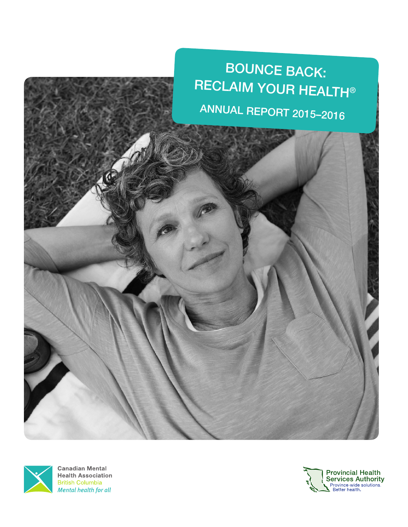



**Canadian Mental Health Association British Columbia** Mental health for all

 $\overline{\Lambda}$ 

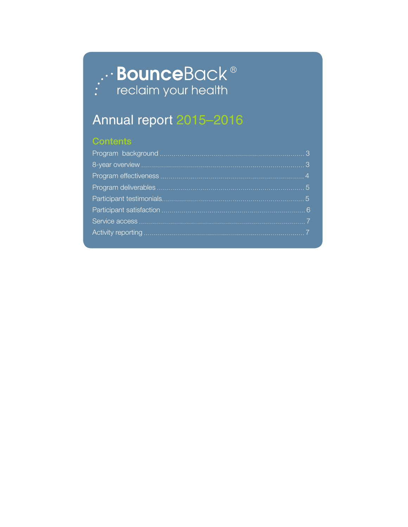# **Bounce**Back<sup>®</sup><br>reclaim your health

# Annual report 2015–2016

### **Contents**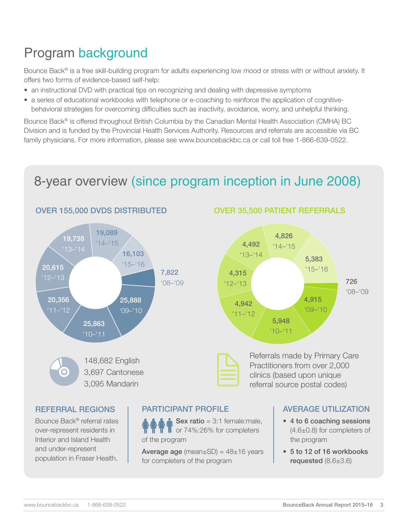## Program background

Bounce Back® is a free skill-building program for adults experiencing low mood or stress with or without anxiety. It offers two forms of evidence-based self-help:

- an instructional DVD with practical tips on recognizing and dealing with depressive symptoms
- a series of educational workbooks with telephone or e-coaching to reinforce the application of cognitivebehavioral strategies for overcoming difficulties such as inactivity, avoidance, worry, and unhelpful thinking.

Bounce Back® is offered throughout British Columbia by the Canadian Mental Health Association (CMHA) BC Division and is funded by the Provincial Health Services Authority. Resources and referrals are accessible via BC family physicians. For more information, please see www.bouncebackbc.ca or call toll free 1-866-639-0522.

## 8-year overview (since program inception in June 2008)



#### OVER 35,500 PATIENT REFERRALS





Referrals made by Primary Care Practitioners from over 2,000 Referrals made by Primary Canadie by Primary Canadie Practitioners from over 2,000<br>clinics (based upon unique referral source postal codes)

#### REFERRAL REGIONS

Bounce Back® referral rates over-represent residents in Interior and Island Health and under-represent population in Fraser Health.

#### PARTICIPANT PROFILE

Sex ratio =  $3:1$  female: male, or 74%:26% for completers of the program

**Average age** (mean $\pm$ SD) = 48 $\pm$ 16 years for completers of the program

#### AVERAGE UTILIZATION

- 4 to 6 coaching sessions (4.6±0.8) for completers of the program
- 5 to 12 of 16 workbooks requested (8.6±3.6)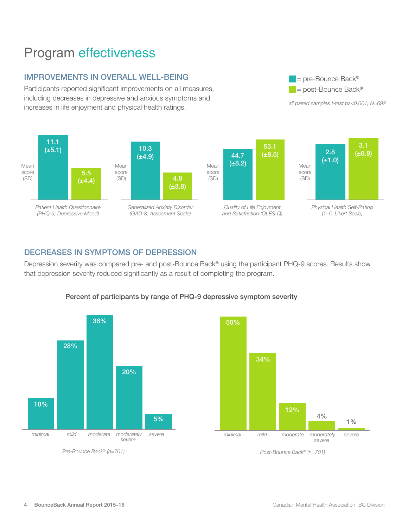### Program effectiveness

#### IMPROVEMENTS IN OVERALL WELL-BEING

Participants reported significant improvements on all measures, including decreases in depressive and anxious symptoms and increases in life enjoyment and physical health ratings.







*all paired samples t-test ps<0.001; N=692*

 $=$  pre-Bounce Back® = post-Bounce Back®

*Physical Health Self-Rating (1–5; Likert Scale)*

#### DECREASES IN SYMPTOMS OF DEPRESSION

Depression severity was compared pre- and post-Bounce Back<sup>®</sup> using the participant PHQ-9 scores. Results show that depression severity reduced significantly as a result of completing the program.





#### Percent of participants by range of PHQ-9 depressive symptom severity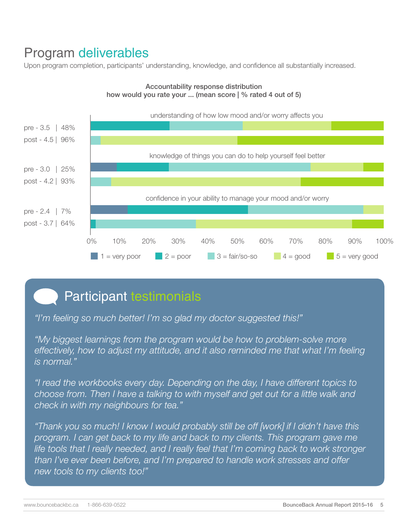### Program deliverables

Upon program completion, participants' understanding, knowledge, and confidence all substantially increased.



#### Accountability response distribution how would you rate your ... (mean score | % rated 4 out of 5)

# Participant testimonials

*"I'm feeling so much better! I'm so glad my doctor suggested this!"*

*"My biggest learnings from the program would be how to problem-solve more effectively, how to adjust my attitude, and it also reminded me that what I'm feeling is normal."*

*"I read the workbooks every day. Depending on the day, I have different topics to choose from. Then I have a talking to with myself and get out for a little walk and check in with my neighbours for tea."* 

*"Thank you so much! I know I would probably still be off [work] if I didn't have this program. I can get back to my life and back to my clients. This program gave me life tools that I really needed, and I really feel that I'm coming back to work stronger than I've ever been before, and I'm prepared to handle work stresses and offer new tools to my clients too!"*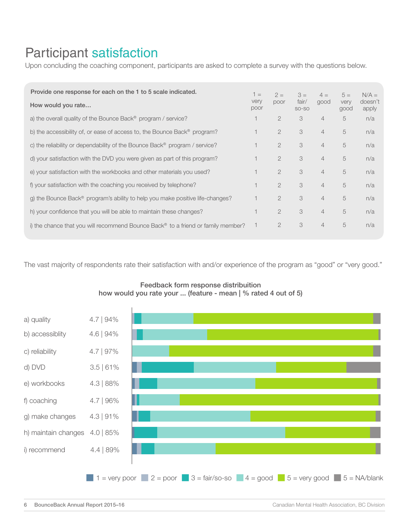### Participant satisfaction

Upon concluding the coaching component, participants are asked to complete a survey with the questions below.

| Provide one response for each on the 1 to 5 scale indicated.                                 | $1 =$<br>very<br>poor | $2 =$<br>poor  | $3 =$<br>fair/<br>SO-SO | $4 =$<br>good  | $5 =$<br>very<br>good | $N/A =$<br>doesn't<br>apply |
|----------------------------------------------------------------------------------------------|-----------------------|----------------|-------------------------|----------------|-----------------------|-----------------------------|
| How would you rate                                                                           |                       |                |                         |                |                       |                             |
| a) the overall quality of the Bounce Back <sup>®</sup> program / service?                    |                       | $\overline{2}$ | 3                       | $\overline{4}$ | 5                     | n/a                         |
| b) the accessibility of, or ease of access to, the Bounce Back <sup>®</sup> program?         |                       | $\overline{2}$ | 3                       | $\overline{4}$ | 5                     | n/a                         |
| c) the reliability or dependability of the Bounce Back <sup>®</sup> program / service?       | 1                     | $\overline{2}$ | 3                       | $\overline{4}$ | 5                     | n/a                         |
| d) your satisfaction with the DVD you were given as part of this program?                    |                       | $\mathcal{P}$  | 3                       | $\overline{4}$ | 5                     | n/a                         |
| e) your satisfaction with the workbooks and other materials you used?                        |                       | $\overline{2}$ | 3                       | $\overline{4}$ | 5                     | n/a                         |
| f) your satisfaction with the coaching you received by telephone?                            | 1                     | $\overline{2}$ | 3                       | $\overline{4}$ | 5                     | n/a                         |
| g) the Bounce Back® program's ability to help you make positive life-changes?                |                       | $\mathcal{P}$  | 3                       | $\overline{4}$ | 5                     | n/a                         |
| h) your confidence that you will be able to maintain these changes?                          |                       | $\overline{2}$ | 3                       | $\overline{4}$ | 5                     | n/a                         |
| i) the chance that you will recommend Bounce Back <sup>®</sup> to a friend or family member? | 1                     | $\overline{2}$ | 3                       | $\overline{4}$ | 5                     | n/a                         |

The vast majority of respondents rate their satisfaction with and/or experience of the program as "good" or "very good."



#### Feedback form response distribuition how would you rate your ... (feature - mean | % rated 4 out of 5)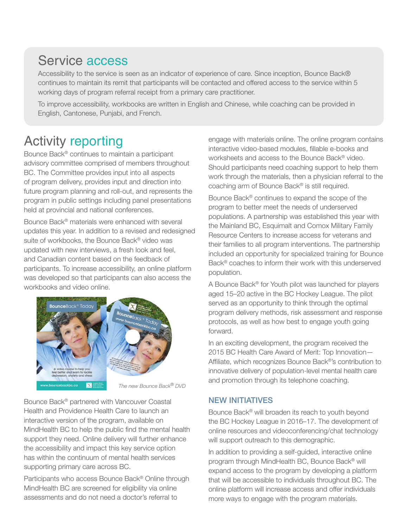### Service access

Accessibility to the service is seen as an indicator of experience of care. Since inception, Bounce Back® continues to maintain its remit that participants will be contacted and offered access to the service within 5 working days of program referral receipt from a primary care practitioner.

To improve accessibility, workbooks are written in English and Chinese, while coaching can be provided in English, Cantonese, Punjabi, and French.

### Activity reporting

Bounce Back® continues to maintain a participant advisory committee comprised of members throughout BC. The Committee provides input into all aspects of program delivery, provides input and direction into future program planning and roll-out, and represents the program in public settings including panel presentations held at provincial and national conferences.

Bounce Back® materials were enhanced with several updates this year. In addition to a revised and redesigned suite of workbooks, the Bounce Back® video was updated with new interviews, a fresh look and feel, and Canadian content based on the feedback of participants. To increase accessibility, an online platform was developed so that participants can also access the workbooks and video online.



*The new Bounce Back*® *DVD*

Bounce Back® partnered with Vancouver Coastal Health and Providence Health Care to launch an interactive version of the program, available on MindHealth BC to help the public find the mental health support they need. Online delivery will further enhance the accessibility and impact this key service option has within the continuum of mental health services supporting primary care across BC.

Participants who access Bounce Back® Online through MindHealth BC are screened for eligibility via online assessments and do not need a doctor's referral to

engage with materials online. The online program contains interactive video-based modules, fillable e-books and worksheets and access to the Bounce Back® video. Should participants need coaching support to help them work through the materials, then a physician referral to the coaching arm of Bounce Back® is still required.

Bounce Back® continues to expand the scope of the program to better meet the needs of underserved populations. A partnership was established this year with the Mainland BC, Esquimalt and Comox Military Family Resource Centers to increase access for veterans and their families to all program interventions. The partnership included an opportunity for specialized training for Bounce Back® coaches to inform their work with this underserved population.

A Bounce Back® for Youth pilot was launched for players aged 15–20 active in the BC Hockey League. The pilot served as an opportunity to think through the optimal program delivery methods, risk assessment and response protocols, as well as how best to engage youth going forward.

In an exciting development, the program received the 2015 BC Health Care Award of Merit: Top Innovation— Affiliate, which recognizes Bounce Back®'s contribution to innovative delivery of population-level mental health care and promotion through its telephone coaching.

#### NEW INITIATIVES

Bounce Back® will broaden its reach to youth beyond the BC Hockey League in 2016–17. The development of online resources and videoconferencing/chat technology will support outreach to this demographic.

In addition to providing a self-guided, interactive online program through MindHealth BC, Bounce Back® will expand access to the program by developing a platform that will be accessible to individuals throughout BC. The online platform will increase access and offer individuals more ways to engage with the program materials.